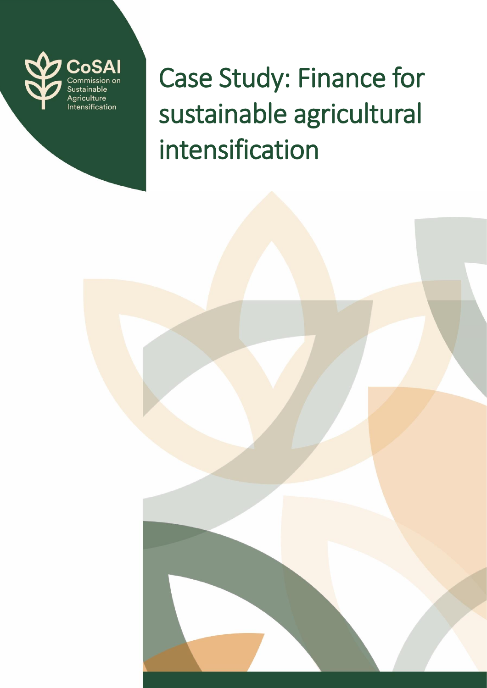

Case Study: Finance for sustainable agricultural intensification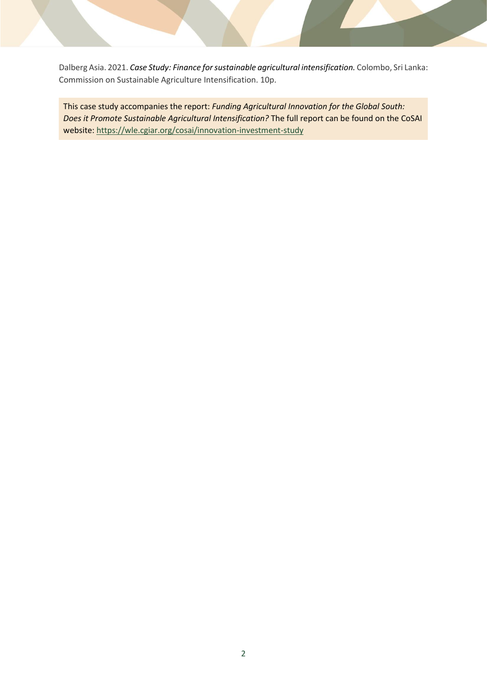Dalberg Asia. 2021. *Case Study: Finance for sustainable agricultural intensification.* Colombo, Sri Lanka: Commission on Sustainable Agriculture Intensification. 10p.

This case study accompanies the report: *Funding Agricultural Innovation for the Global South: Does it Promote Sustainable Agricultural Intensification?* The full report can be found on the CoSAI website:<https://wle.cgiar.org/cosai/innovation-investment-study>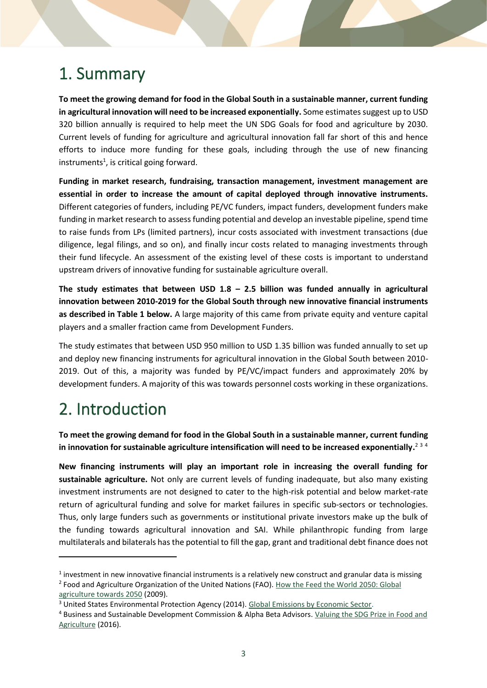## 1. Summary

**To meet the growing demand for food in the Global South in a sustainable manner, current funding in agricultural innovation will need to be increased exponentially.** Some estimates suggest up to USD 320 billion annually is required to help meet the UN SDG Goals for food and agriculture by 2030. Current levels of funding for agriculture and agricultural innovation fall far short of this and hence efforts to induce more funding for these goals, including through the use of new financing instruments<sup>1</sup>, is critical going forward.

**Funding in market research, fundraising, transaction management, investment management are essential in order to increase the amount of capital deployed through innovative instruments.** Different categories of funders, including PE/VC funders, impact funders, development funders make funding in market research to assess funding potential and develop an investable pipeline, spend time to raise funds from LPs (limited partners), incur costs associated with investment transactions (due diligence, legal filings, and so on), and finally incur costs related to managing investments through their fund lifecycle. An assessment of the existing level of these costs is important to understand upstream drivers of innovative funding for sustainable agriculture overall.

**The study estimates that between USD 1.8 – 2.5 billion was funded annually in agricultural innovation between 2010-2019 for the Global South through new innovative financial instruments as described in Table 1 below.** A large majority of this came from private equity and venture capital players and a smaller fraction came from Development Funders.

The study estimates that between USD 950 million to USD 1.35 billion was funded annually to set up and deploy new financing instruments for agricultural innovation in the Global South between 2010- 2019. Out of this, a majority was funded by PE/VC/impact funders and approximately 20% by development funders. A majority of this was towards personnel costs working in these organizations.

### 2. Introduction

**To meet the growing demand for food in the Global South in a sustainable manner, current funding**  in innovation for sustainable agriculture intensification will need to be increased exponentially.<sup>234</sup>

**New financing instruments will play an important role in increasing the overall funding for sustainable agriculture.** Not only are current levels of funding inadequate, but also many existing investment instruments are not designed to cater to the high-risk potential and below market-rate return of agricultural funding and solve for market failures in specific sub-sectors or technologies. Thus, only large funders such as governments or institutional private investors make up the bulk of the funding towards agricultural innovation and SAI. While philanthropic funding from large multilaterals and bilaterals has the potential to fill the gap, grant and traditional debt finance does not

 $<sup>1</sup>$  investment in new innovative financial instruments is a relatively new construct and granular data is missing</sup> <sup>2</sup> Food and Agriculture Organization of the United Nations (FAO). How the Feed the World 2050: Global [agriculture towards 2050](http://www.fao.org/fileadmin/templates/wsfs/docs/Issues_papers/HLEF2050_Global_Agriculture.pdf) (2009).

<sup>&</sup>lt;sup>3</sup> United States Environmental Protection Agency (2014). [Global Emissions by Economic Sector.](https://www.epa.gov/ghgemissions/global-greenhouse-gas-emissions-data)

<sup>4</sup> Business and Sustainable Development Commission & Alpha Beta Advisors. [Valuing the SDG Prize in Food and](http://s3.amazonaws.com/aws-bsdc/Valuing-SDG-Food-Ag-Prize-Paper.pdf)  [Agriculture](http://s3.amazonaws.com/aws-bsdc/Valuing-SDG-Food-Ag-Prize-Paper.pdf) (2016).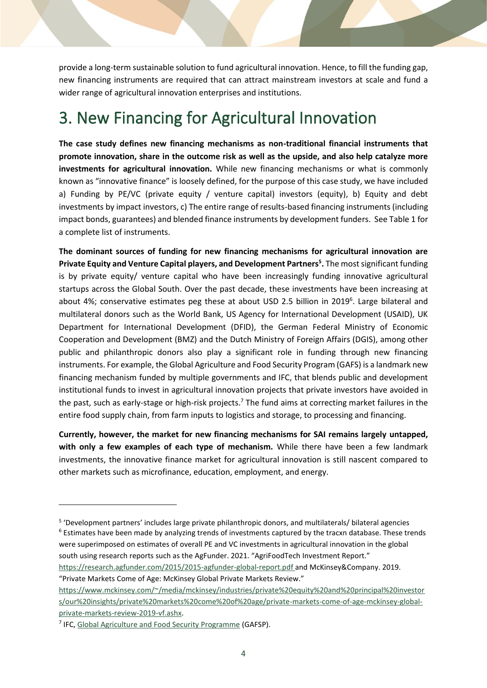provide a long-term sustainable solution to fund agricultural innovation. Hence, to fill the funding gap, new financing instruments are required that can attract mainstream investors at scale and fund a wider range of agricultural innovation enterprises and institutions.

## 3. New Financing for Agricultural Innovation

**The case study defines new financing mechanisms as non-traditional financial instruments that promote innovation, share in the outcome risk as well as the upside, and also help catalyze more investments for agricultural innovation.** While new financing mechanisms or what is commonly known as "innovative finance" is loosely defined, for the purpose of this case study, we have included a) Funding by PE/VC (private equity / venture capital) investors (equity), b) Equity and debt investments by impact investors, c) The entire range of results-based financing instruments (including impact bonds, guarantees) and blended finance instruments by development funders. See Table 1 for a complete list of instruments.

**The dominant sources of funding for new financing mechanisms for agricultural innovation are Private Equity and Venture Capital players, and Development Partners<sup>5</sup> .** The most significant funding is by private equity/ venture capital who have been increasingly funding innovative agricultural startups across the Global South. Over the past decade, these investments have been increasing at about 4%; conservative estimates peg these at about USD 2.5 billion in 2019<sup>6</sup>. Large bilateral and multilateral donors such as the World Bank, US Agency for International Development (USAID), UK Department for International Development (DFID), the German Federal Ministry of Economic Cooperation and Development (BMZ) and the Dutch Ministry of Foreign Affairs (DGIS), among other public and philanthropic donors also play a significant role in funding through new financing instruments. For example, the Global Agriculture and Food Security Program (GAFS) is a landmark new financing mechanism funded by multiple governments and IFC, that blends public and development institutional funds to invest in agricultural innovation projects that private investors have avoided in the past, such as early-stage or high-risk projects.<sup>7</sup> The fund aims at correcting market failures in the entire food supply chain, from farm inputs to logistics and storage, to processing and financing.

**Currently, however, the market for new financing mechanisms for SAI remains largely untapped, with only a few examples of each type of mechanism.** While there have been a few landmark investments, the innovative finance market for agricultural innovation is still nascent compared to other markets such as microfinance, education, employment, and energy.

<sup>5</sup> 'Development partners' includes large private philanthropic donors, and multilaterals/ bilateral agencies <sup>6</sup> Estimates have been made by analyzing trends of investments captured by the tracxn database. These trends were superimposed on estimates of overall PE and VC investments in agricultural innovation in the global south using research reports such as the AgFunder. 2021. "AgriFoodTech Investment Report." <https://research.agfunder.com/2015/2015-agfunder-global-report.pdf> and McKinsey&Company. 2019.

<sup>&</sup>quot;Private Markets Come of Age: McKinsey Global Private Markets Review." [https://www.mckinsey.com/~/media/mckinsey/industries/private%20equity%20and%20principal%20investor](https://www.mckinsey.com/~/media/mckinsey/industries/private%20equity%20and%20principal%20investors/our%20insights/private%20markets%20come%20of%20age/private-markets-come-of-age-mckinsey-global-private-markets-review-2019-vf.ashx) [s/our%20insights/private%20markets%20come%20of%20age/private-markets-come-of-age-mckinsey-global](https://www.mckinsey.com/~/media/mckinsey/industries/private%20equity%20and%20principal%20investors/our%20insights/private%20markets%20come%20of%20age/private-markets-come-of-age-mckinsey-global-private-markets-review-2019-vf.ashx)[private-markets-review-2019-vf.ashx.](https://www.mckinsey.com/~/media/mckinsey/industries/private%20equity%20and%20principal%20investors/our%20insights/private%20markets%20come%20of%20age/private-markets-come-of-age-mckinsey-global-private-markets-review-2019-vf.ashx)

<sup>&</sup>lt;sup>7</sup> IFC, [Global Agriculture and Food Security Programme](https://www.gafspfund.org/) (GAFSP).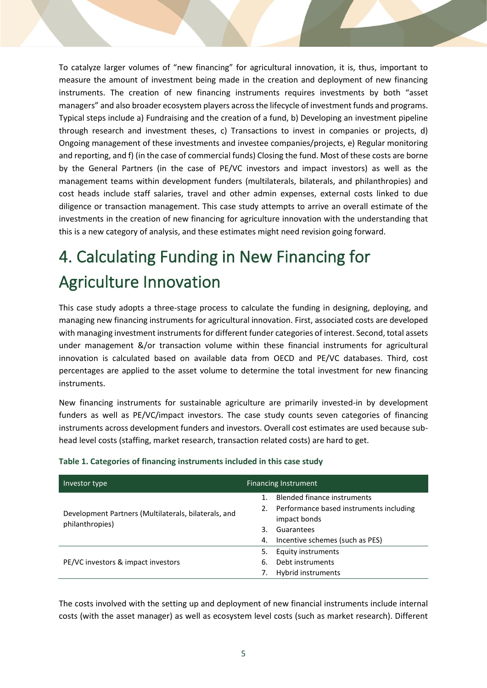To catalyze larger volumes of "new financing" for agricultural innovation, it is, thus, important to measure the amount of investment being made in the creation and deployment of new financing instruments. The creation of new financing instruments requires investments by both "asset managers" and also broader ecosystem players across the lifecycle of investment funds and programs. Typical steps include a) Fundraising and the creation of a fund, b) Developing an investment pipeline through research and investment theses, c) Transactions to invest in companies or projects, d) Ongoing management of these investments and investee companies/projects, e) Regular monitoring and reporting, and f) (in the case of commercial funds) Closing the fund. Most of these costs are borne by the General Partners (in the case of PE/VC investors and impact investors) as well as the management teams within development funders (multilaterals, bilaterals, and philanthropies) and cost heads include staff salaries, travel and other admin expenses, external costs linked to due diligence or transaction management. This case study attempts to arrive an overall estimate of the investments in the creation of new financing for agriculture innovation with the understanding that this is a new category of analysis, and these estimates might need revision going forward.

# 4. Calculating Funding in New Financing for Agriculture Innovation

This case study adopts a three-stage process to calculate the funding in designing, deploying, and managing new financing instruments for agricultural innovation. First, associated costs are developed with managing investment instruments for different funder categories of interest. Second, total assets under management &/or transaction volume within these financial instruments for agricultural innovation is calculated based on available data from OECD and PE/VC databases. Third, cost percentages are applied to the asset volume to determine the total investment for new financing instruments.

New financing instruments for sustainable agriculture are primarily invested-in by development funders as well as PE/VC/impact investors. The case study counts seven categories of financing instruments across development funders and investors. Overall cost estimates are used because subhead level costs (staffing, market research, transaction related costs) are hard to get.

| Investor type                                                           | <b>Financing Instrument</b>                                |  |  |
|-------------------------------------------------------------------------|------------------------------------------------------------|--|--|
| Development Partners (Multilaterals, bilaterals, and<br>philanthropies) | <b>Blended finance instruments</b>                         |  |  |
|                                                                         | 2. Performance based instruments including<br>impact bonds |  |  |
|                                                                         | Guarantees<br>З.                                           |  |  |
|                                                                         | Incentive schemes (such as PES)<br>4.                      |  |  |
| PE/VC investors & impact investors                                      | <b>Equity instruments</b><br>5.                            |  |  |
|                                                                         | Debt instruments<br>6.                                     |  |  |
|                                                                         | Hybrid instruments                                         |  |  |

#### **Table 1. Categories of financing instruments included in this case study**

The costs involved with the setting up and deployment of new financial instruments include internal costs (with the asset manager) as well as ecosystem level costs (such as market research). Different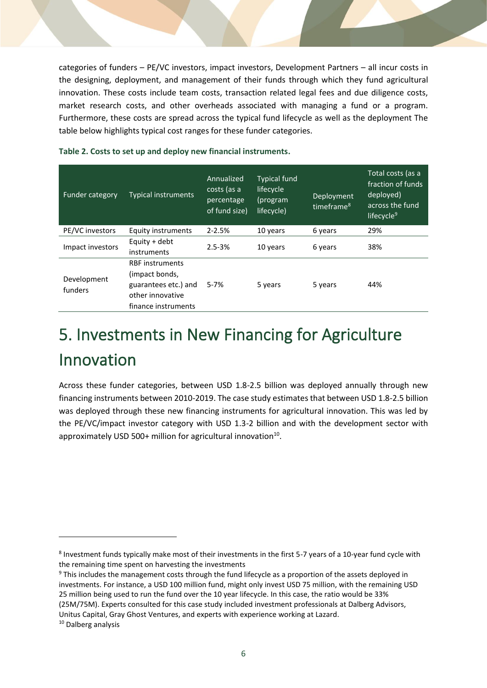categories of funders – PE/VC investors, impact investors, Development Partners – all incur costs in the designing, deployment, and management of their funds through which they fund agricultural innovation. These costs include team costs, transaction related legal fees and due diligence costs, market research costs, and other overheads associated with managing a fund or a program. Furthermore, these costs are spread across the typical fund lifecycle as well as the deployment The table below highlights typical cost ranges for these funder categories.

| <b>Funder category</b> | <b>Typical instruments</b>                                                                                  | Annualized<br>costs (as a<br>percentage<br>of fund size) | <b>Typical fund</b><br>lifecycle<br>(program<br>lifecycle) | Deployment<br>timeframe <sup>8</sup> | Total costs (as a<br>fraction of funds<br>deployed)<br>across the fund<br>lifecycle <sup>9</sup> |
|------------------------|-------------------------------------------------------------------------------------------------------------|----------------------------------------------------------|------------------------------------------------------------|--------------------------------------|--------------------------------------------------------------------------------------------------|
| PE/VC investors        | Equity instruments                                                                                          | $2 - 2.5%$                                               | 10 years                                                   | 6 years                              | 29%                                                                                              |
| Impact investors       | Equity + debt<br>instruments                                                                                | $2.5 - 3%$                                               | 10 years                                                   | 6 years                              | 38%                                                                                              |
| Development<br>funders | <b>RBF</b> instruments<br>(impact bonds,<br>guarantees etc.) and<br>other innovative<br>finance instruments | $5 - 7%$                                                 | 5 years                                                    | 5 years                              | 44%                                                                                              |

**Table 2. Costs to set up and deploy new financial instruments.**

## 5. Investments in New Financing for Agriculture Innovation

Across these funder categories, between USD 1.8-2.5 billion was deployed annually through new financing instruments between 2010-2019. The case study estimates that between USD 1.8-2.5 billion was deployed through these new financing instruments for agricultural innovation. This was led by the PE/VC/impact investor category with USD 1.3-2 billion and with the development sector with approximately USD 500+ million for agricultural innovation<sup>10</sup>.

<sup>&</sup>lt;sup>8</sup> Investment funds typically make most of their investments in the first 5-7 years of a 10-year fund cycle with the remaining time spent on harvesting the investments

<sup>&</sup>lt;sup>9</sup> This includes the management costs through the fund lifecycle as a proportion of the assets deployed in investments. For instance, a USD 100 million fund, might only invest USD 75 million, with the remaining USD 25 million being used to run the fund over the 10 year lifecycle. In this case, the ratio would be 33% (25M/75M). Experts consulted for this case study included investment professionals at Dalberg Advisors, Unitus Capital, Gray Ghost Ventures, and experts with experience working at Lazard.

<sup>&</sup>lt;sup>10</sup> Dalberg analysis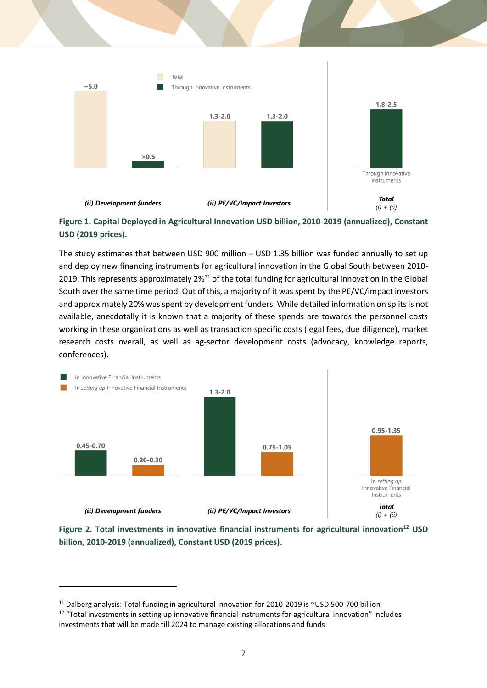



The study estimates that between USD 900 million – USD 1.35 billion was funded annually to set up and deploy new financing instruments for agricultural innovation in the Global South between 2010- 2019. This represents approximately 2%<sup>11</sup> of the total funding for agricultural innovation in the Global South over the same time period. Out of this, a majority of it was spent by the PE/VC/impact investors and approximately 20% was spent by development funders. While detailed information on splits is not available, anecdotally it is known that a majority of these spends are towards the personnel costs working in these organizations as well as transaction specific costs (legal fees, due diligence), market research costs overall, as well as ag-sector development costs (advocacy, knowledge reports, conferences).



**Figure 2. Total investments in innovative financial instruments for agricultural innovation<sup>12</sup> USD billion, 2010-2019 (annualized), Constant USD (2019 prices).**

<sup>&</sup>lt;sup>11</sup> Dalberg analysis: Total funding in agricultural innovation for 2010-2019 is ~USD 500-700 billion  $12$  "Total investments in setting up innovative financial instruments for agricultural innovation" includes

investments that will be made till 2024 to manage existing allocations and funds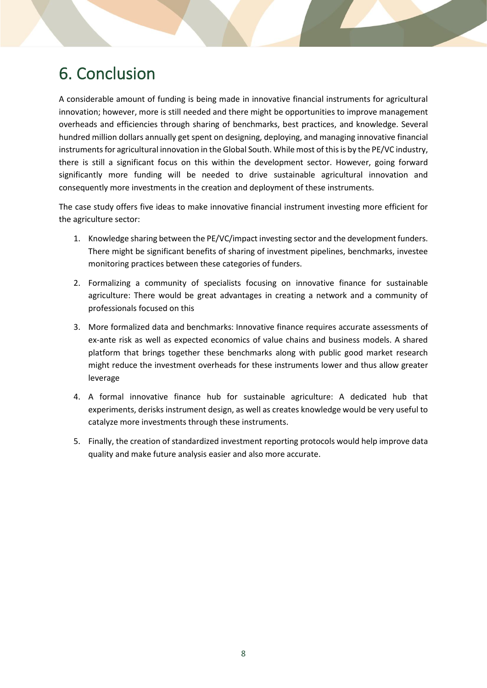## 6. Conclusion

A considerable amount of funding is being made in innovative financial instruments for agricultural innovation; however, more is still needed and there might be opportunities to improve management overheads and efficiencies through sharing of benchmarks, best practices, and knowledge. Several hundred million dollars annually get spent on designing, deploying, and managing innovative financial instruments for agricultural innovation in the Global South. While most of this is by the PE/VC industry, there is still a significant focus on this within the development sector. However, going forward significantly more funding will be needed to drive sustainable agricultural innovation and consequently more investments in the creation and deployment of these instruments.

The case study offers five ideas to make innovative financial instrument investing more efficient for the agriculture sector:

- 1. Knowledge sharing between the PE/VC/impact investing sector and the development funders. There might be significant benefits of sharing of investment pipelines, benchmarks, investee monitoring practices between these categories of funders.
- 2. Formalizing a community of specialists focusing on innovative finance for sustainable agriculture: There would be great advantages in creating a network and a community of professionals focused on this
- 3. More formalized data and benchmarks: Innovative finance requires accurate assessments of ex-ante risk as well as expected economics of value chains and business models. A shared platform that brings together these benchmarks along with public good market research might reduce the investment overheads for these instruments lower and thus allow greater leverage
- 4. A formal innovative finance hub for sustainable agriculture: A dedicated hub that experiments, derisks instrument design, as well as creates knowledge would be very useful to catalyze more investments through these instruments.
- 5. Finally, the creation of standardized investment reporting protocols would help improve data quality and make future analysis easier and also more accurate.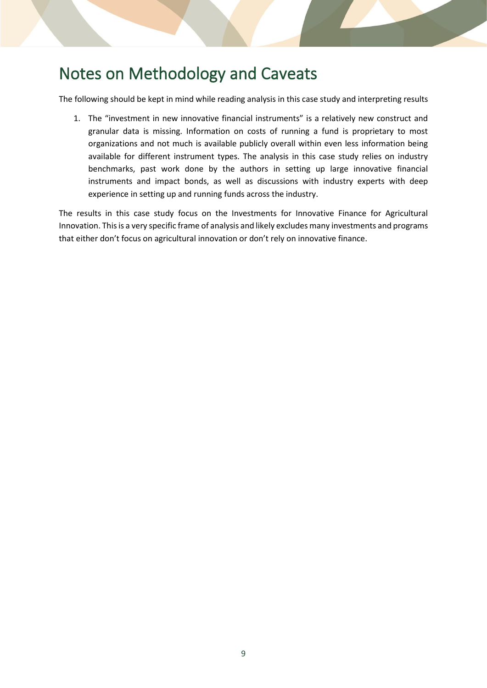### Notes on Methodology and Caveats

The following should be kept in mind while reading analysis in this case study and interpreting results

1. The "investment in new innovative financial instruments" is a relatively new construct and granular data is missing. Information on costs of running a fund is proprietary to most organizations and not much is available publicly overall within even less information being available for different instrument types. The analysis in this case study relies on industry benchmarks, past work done by the authors in setting up large innovative financial instruments and impact bonds, as well as discussions with industry experts with deep experience in setting up and running funds across the industry.

The results in this case study focus on the Investments for Innovative Finance for Agricultural Innovation. This is a very specific frame of analysis and likely excludes many investments and programs that either don't focus on agricultural innovation or don't rely on innovative finance.